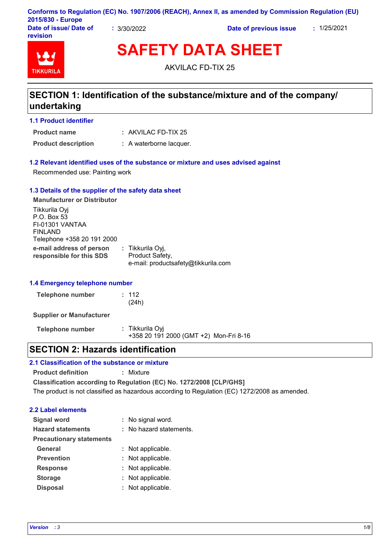|                                    |           | Conforms to Regulation (EC) No. 1907/2006 (REACH), Annex II, as amended by Commission Regulation (EU) |             |
|------------------------------------|-----------|-------------------------------------------------------------------------------------------------------|-------------|
| 2015/830 - Europe                  |           |                                                                                                       |             |
| Date of issue/ Date of<br>revision | 3/30/2022 | Date of previous issue                                                                                | : 1/25/2021 |

# **TIKKURIL**

**SAFETY DATA SHEET**

AKVILAC FD-TIX 25

# **SECTION 1: Identification of the substance/mixture and of the company/ undertaking**

#### **1.1 Product identifier**

AKVILAC FD-TIX 25 **: Product name**

**Product description :** A waterborne lacquer.

#### **1.2 Relevant identified uses of the substance or mixture and uses advised against**

Recommended use: Painting work

#### **1.3 Details of the supplier of the safety data sheet**

**e-mail address of person responsible for this SDS :** Tikkurila Oyj, Product Safety, e-mail: productsafety@tikkurila.com **Manufacturer or Distributor** Tikkurila Oyj P.O. Box 53 FI-01301 VANTAA FINLAND Telephone +358 20 191 2000

#### **1.4 Emergency telephone number**

| Telephone number | : 112 |
|------------------|-------|
|                  | (24h) |

**Supplier or Manufacturer**

**Telephone number :** Tikkurila Oyj +358 20 191 2000 (GMT +2) Mon-Fri 8-16

# **SECTION 2: Hazards identification**

#### **2.1 Classification of the substance or mixture**

**Product definition :** Mixture

**Classification according to Regulation (EC) No. 1272/2008 [CLP/GHS]** The product is not classified as hazardous according to Regulation (EC) 1272/2008 as amended.

#### **2.2 Label elements**

| <b>Signal word</b>              | : No signal word.       |
|---------------------------------|-------------------------|
| <b>Hazard statements</b>        | : No hazard statements. |
| <b>Precautionary statements</b> |                         |
| <b>General</b>                  | : Not applicable.       |
| <b>Prevention</b>               | : Not applicable.       |
| <b>Response</b>                 | : Not applicable.       |
| <b>Storage</b>                  | : Not applicable.       |
| <b>Disposal</b>                 | : Not applicable.       |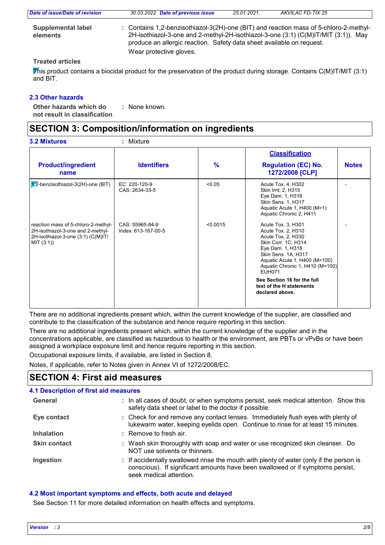| : Contains 1,2-benzisothiazol-3(2H)-one (BIT) and reaction mass of 5-chloro-2-methyl-<br><b>Supplemental label</b><br>2H-isothiazol-3-one and 2-methyl-2H-isothiazol-3-one (3:1) (C(M)IT/MIT (3:1)). May<br>elements<br>produce an allergic reaction. Safety data sheet available on request.<br>Wear protective gloves. | Date of issue/Date of revision | 30.03.2022 Date of previous issue | 25.01.2021. | AKVILAC FD-TIX 25 |
|--------------------------------------------------------------------------------------------------------------------------------------------------------------------------------------------------------------------------------------------------------------------------------------------------------------------------|--------------------------------|-----------------------------------|-------------|-------------------|
|                                                                                                                                                                                                                                                                                                                          |                                |                                   |             |                   |

#### **Treated articles**

This product contains a biocidal product for the preservation of the product during storage. Contains C(M)IT/MIT (3:1) and BIT.

#### **2.3 Other hazards**

**Other hazards which do : not result in classification** : None known.

# **SECTION 3: Composition/information on ingredients**

|                                                                                                                              |                                        |               | <b>Classification</b>                                                                                                                                                                                                 |              |
|------------------------------------------------------------------------------------------------------------------------------|----------------------------------------|---------------|-----------------------------------------------------------------------------------------------------------------------------------------------------------------------------------------------------------------------|--------------|
| <b>Product/ingredient</b><br>name                                                                                            | <b>Identifiers</b>                     | $\frac{9}{6}$ | <b>Regulation (EC) No.</b><br>1272/2008 [CLP]                                                                                                                                                                         | <b>Notes</b> |
| $1/2$ -benzisothiazol-3(2H)-one (BIT)                                                                                        | EC: 220-120-9<br>CAS: 2634-33-5        | < 0.05        | Acute Tox. 4, H302<br>Skin Irrit. 2, H315<br>Eye Dam. 1, H318<br><b>Skin Sens. 1, H317</b><br>Aquatic Acute 1, H400 (M=1)<br>Aquatic Chronic 2, H411                                                                  |              |
| reaction mass of 5-chloro-2-methyl-<br>2H-isothiazol-3-one and 2-methyl-<br>2H-isothiazol-3-one (3:1) (C(M)IT/<br>MIT (3:1)) | CAS: 55965-84-9<br>Index: 613-167-00-5 | < 0.0015      | Acute Tox. 3, H301<br>Acute Tox. 2, H310<br>Acute Tox. 2, H330<br>Skin Corr. 1C, H314<br>Eye Dam. 1, H318<br>Skin Sens. 1A, H317<br>Aquatic Acute 1, H400 (M=100)<br>Aquatic Chronic 1, H410 (M=100)<br><b>EUH071</b> |              |
|                                                                                                                              |                                        |               | See Section 16 for the full<br>text of the H statements<br>declared above.                                                                                                                                            |              |

There are no additional ingredients present which, within the current knowledge of the supplier, are classified and contribute to the classification of the substance and hence require reporting in this section.

There are no additional ingredients present which, within the current knowledge of the supplier and in the concentrations applicable, are classified as hazardous to health or the environment, are PBTs or vPvBs or have been assigned a workplace exposure limit and hence require reporting in this section.

Occupational exposure limits, if available, are listed in Section 8.

Notes, if applicable, refer to Notes given in Annex VI of 1272/2008/EC.

# **SECTION 4: First aid measures**

#### **4.1 Description of first aid measures**

| General             | : In all cases of doubt, or when symptoms persist, seek medical attention. Show this<br>safety data sheet or label to the doctor if possible.                                                        |
|---------------------|------------------------------------------------------------------------------------------------------------------------------------------------------------------------------------------------------|
| Eye contact         | : Check for and remove any contact lenses. Immediately flush eyes with plenty of<br>lukewarm water, keeping eyelids open. Continue to rinse for at least 15 minutes.                                 |
| <b>Inhalation</b>   | $:$ Remove to fresh air.                                                                                                                                                                             |
| <b>Skin contact</b> | : Wash skin thoroughly with soap and water or use recognized skin cleanser. Do<br>NOT use solvents or thinners.                                                                                      |
| Ingestion           | : If accidentally swallowed rinse the mouth with plenty of water (only if the person is<br>conscious). If significant amounts have been swallowed or if symptoms persist,<br>seek medical attention. |

#### **4.2 Most important symptoms and effects, both acute and delayed**

See Section 11 for more detailed information on health effects and symptoms.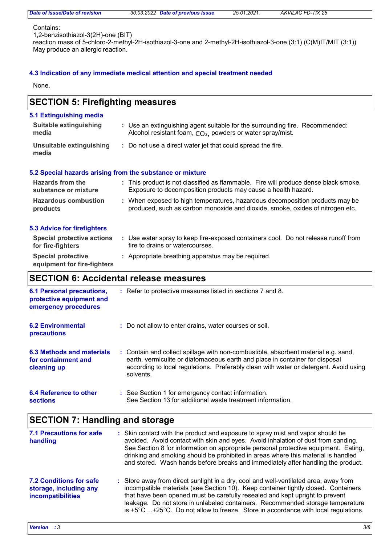#### Contains:

1,2-benzisothiazol-3(2H)-one (BIT)

reaction mass of 5-chloro-2-methyl-2H-isothiazol-3-one and 2-methyl-2H-isothiazol-3-one (3:1) (C(M)IT/MIT (3:1)) May produce an allergic reaction.

#### **4.3 Indication of any immediate medical attention and special treatment needed**

None.

#### Use water spray to keep fire-exposed containers cool. Do not release runoff from **:** fire to drains or watercourses. **Hazardous combustion products Hazards from the substance or mixture** When exposed to high temperatures, hazardous decomposition products may be **:** produced, such as carbon monoxide and dioxide, smoke, oxides of nitrogen etc. This product is not classified as flammable. Fire will produce dense black smoke. **:** Exposure to decomposition products may cause a health hazard. **Special protective : Appropriate breathing apparatus may be required. equipment for fire-fighters** Use an extinguishing agent suitable for the surrounding fire. Recommended: **:** Alcohol resistant foam,  $CO<sub>2</sub>$  powders or water spray/mist. **5.1 Extinguishing media** Do not use a direct water jet that could spread the fire. **: Suitable extinguishing media Unsuitable extinguishing media SECTION 5: Firefighting measures 5.2 Special hazards arising from the substance or mixture 5.3 Advice for firefighters Special protective actions for fire-fighters 6.2 Environmental precautions** Do not allow to enter drains, water courses or soil. **: SECTION 6: Accidental release measures 6.1 Personal precautions, protective equipment and emergency procedures** Refer to protective measures listed in sections 7 and 8. **:**

Contain and collect spillage with non-combustible, absorbent material e.g. sand, **:** earth, vermiculite or diatomaceous earth and place in container for disposal according to local regulations. Preferably clean with water or detergent. Avoid using solvents. **6.3 Methods and materials for containment and cleaning up**

| 6.4 Reference to other | : See Section 1 for emergency contact information.         |
|------------------------|------------------------------------------------------------|
| <b>sections</b>        | See Section 13 for additional waste treatment information. |

# **SECTION 7: Handling and storage**

| <b>7.1 Precautions for safe</b><br>handling                                   | : Skin contact with the product and exposure to spray mist and vapor should be<br>avoided. Avoid contact with skin and eyes. Avoid inhalation of dust from sanding.<br>See Section 8 for information on appropriate personal protective equipment. Eating,<br>drinking and smoking should be prohibited in areas where this material is handled<br>and stored. Wash hands before breaks and immediately after handling the product.                    |
|-------------------------------------------------------------------------------|--------------------------------------------------------------------------------------------------------------------------------------------------------------------------------------------------------------------------------------------------------------------------------------------------------------------------------------------------------------------------------------------------------------------------------------------------------|
| <b>7.2 Conditions for safe</b><br>storage, including any<br>incompatibilities | : Store away from direct sunlight in a dry, cool and well-ventilated area, away from<br>incompatible materials (see Section 10). Keep container tightly closed. Containers<br>that have been opened must be carefully resealed and kept upright to prevent<br>leakage. Do not store in unlabeled containers. Recommended storage temperature<br>is $+5^{\circ}$ C $+25^{\circ}$ C. Do not allow to freeze. Store in accordance with local regulations. |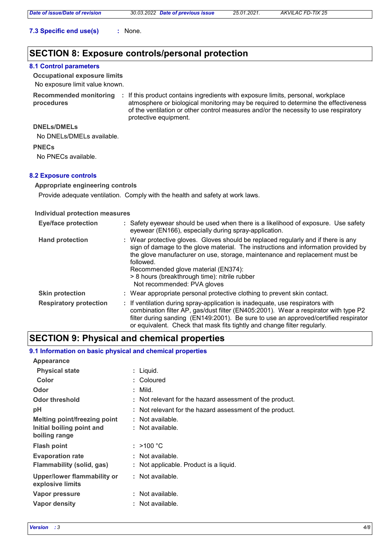**7.3 Specific end use(s) :** None.

# **SECTION 8: Exposure controls/personal protection**

#### **8.1 Control parameters**

**Occupational exposure limits**

#### No exposure limit value known.

**procedures**

Recommended monitoring : If this product contains ingredients with exposure limits, personal, workplace atmosphere or biological monitoring may be required to determine the effectiveness of the ventilation or other control measures and/or the necessity to use respiratory protective equipment.

#### **DNELs/DMELs**

No DNELs/DMELs available.

#### **PNECs**

No PNECs available.

#### **8.2 Exposure controls**

#### **Appropriate engineering controls**

Provide adequate ventilation. Comply with the health and safety at work laws.

#### **Individual protection measures**

| <b>Eye/face protection</b>    | : Safety eyewear should be used when there is a likelihood of exposure. Use safety<br>eyewear (EN166), especially during spray-application.                                                                                                                                                                                                                                                |
|-------------------------------|--------------------------------------------------------------------------------------------------------------------------------------------------------------------------------------------------------------------------------------------------------------------------------------------------------------------------------------------------------------------------------------------|
| <b>Hand protection</b>        | : Wear protective gloves. Gloves should be replaced regularly and if there is any<br>sign of damage to the glove material. The instructions and information provided by<br>the glove manufacturer on use, storage, maintenance and replacement must be<br>followed.<br>Recommended glove material (EN374):<br>> 8 hours (breakthrough time): nitrile rubber<br>Not recommended: PVA gloves |
| <b>Skin protection</b>        | : Wear appropriate personal protective clothing to prevent skin contact.                                                                                                                                                                                                                                                                                                                   |
| <b>Respiratory protection</b> | : If ventilation during spray-application is inadequate, use respirators with<br>combination filter AP, gas/dust filter (EN405:2001). Wear a respirator with type P2<br>filter during sanding (EN149:2001). Be sure to use an approved/certified respirator<br>or equivalent. Check that mask fits tightly and change filter regularly.                                                    |

## **SECTION 9: Physical and chemical properties**

#### **9.1 Information on basic physical and chemical properties**

| <b>Appearance</b>                                      |                                                          |
|--------------------------------------------------------|----------------------------------------------------------|
| <b>Physical state</b>                                  | : Liquid.                                                |
| Color                                                  | : Coloured                                               |
| Odor                                                   | : Mild.                                                  |
| <b>Odor threshold</b>                                  | : Not relevant for the hazard assessment of the product. |
| рH                                                     | : Not relevant for the hazard assessment of the product. |
| <b>Melting point/freezing point</b>                    | : Not available.                                         |
| Initial boiling point and<br>boiling range             | : Not available.                                         |
| <b>Flash point</b>                                     | : $>100 °C$                                              |
| <b>Evaporation rate</b>                                | : Not available.                                         |
| Flammability (solid, gas)                              | : Not applicable. Product is a liquid.                   |
| <b>Upper/lower flammability or</b><br>explosive limits | : Not available.                                         |
| Vapor pressure                                         | : Not available.                                         |
| Vapor density                                          | : Not available.                                         |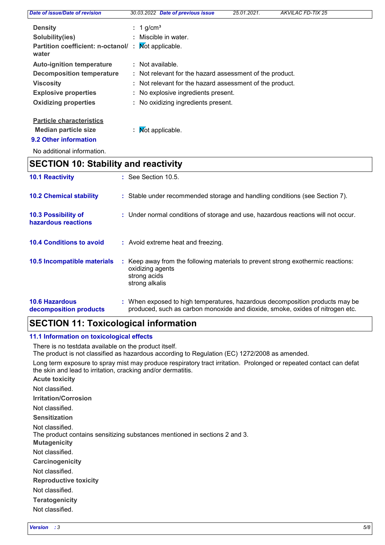| Date of issue/Date of revision              | 30.03.2022 Date of previous issue                        | 25.01.2021. | <b>AKVILAC FD-TIX 25</b> |  |
|---------------------------------------------|----------------------------------------------------------|-------------|--------------------------|--|
| <b>Density</b>                              | $: 1$ g/cm <sup>3</sup>                                  |             |                          |  |
| Solubility(ies)                             | : Miscible in water.                                     |             |                          |  |
| Partition coefficient: n-octanol/:<br>water | Not applicable.                                          |             |                          |  |
| <b>Auto-ignition temperature</b>            | : Not available.                                         |             |                          |  |
| Decomposition temperature                   | : Not relevant for the hazard assessment of the product. |             |                          |  |
| <b>Viscosity</b>                            | : Not relevant for the hazard assessment of the product. |             |                          |  |
| <b>Explosive properties</b>                 | : No explosive ingredients present.                      |             |                          |  |
| <b>Oxidizing properties</b>                 | : No oxidizing ingredients present.                      |             |                          |  |
| <b>Particle characteristics</b>             |                                                          |             |                          |  |
| <b>Median particle size</b>                 | Not applicable.                                          |             |                          |  |

**9.2 Other information**

No additional information.

# **SECTION 10: Stability and reactivity**

| <b>10.1 Reactivity</b>                          | $\therefore$ See Section 10.5.                                                                                                                                |
|-------------------------------------------------|---------------------------------------------------------------------------------------------------------------------------------------------------------------|
| <b>10.2 Chemical stability</b>                  | : Stable under recommended storage and handling conditions (see Section 7).                                                                                   |
| 10.3 Possibility of<br>hazardous reactions      | : Under normal conditions of storage and use, hazardous reactions will not occur.                                                                             |
| <b>10.4 Conditions to avoid</b>                 | : Avoid extreme heat and freezing.                                                                                                                            |
| 10.5 Incompatible materials                     | : Keep away from the following materials to prevent strong exothermic reactions:<br>oxidizing agents<br>strong acids<br>strong alkalis                        |
| <b>10.6 Hazardous</b><br>decomposition products | : When exposed to high temperatures, hazardous decomposition products may be<br>produced, such as carbon monoxide and dioxide, smoke, oxides of nitrogen etc. |

# **SECTION 11: Toxicological information**

#### **11.1 Information on toxicological effects**

There is no testdata available on the product itself.

The product is not classified as hazardous according to Regulation (EC) 1272/2008 as amended.

Long term exposure to spray mist may produce respiratory tract irritation. Prolonged or repeated contact can defat the skin and lead to irritation, cracking and/or dermatitis.

**Acute toxicity**

Not classified.

**Irritation/Corrosion**

Not classified.

**Sensitization**

Not classified.

The product contains sensitizing substances mentioned in sections 2 and 3.

**Mutagenicity**

Not classified.

**Carcinogenicity**

Not classified.

**Reproductive toxicity**

Not classified.

**Teratogenicity**

Not classified.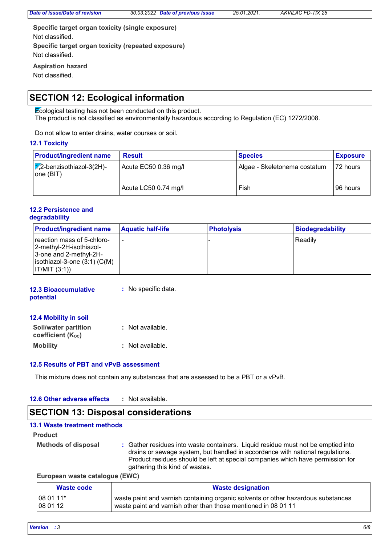**Specific target organ toxicity (single exposure) Specific target organ toxicity (repeated exposure)** Not classified. Not classified.

**Aspiration hazard** Not classified.

# **SECTION 12: Ecological information**

Ecological testing has not been conducted on this product. The product is not classified as environmentally hazardous according to Regulation (EC) 1272/2008.

Do not allow to enter drains, water courses or soil.

#### **12.1 Toxicity**

| <b>Product/ingredient name</b>                   | <b>Result</b>        | <b>Species</b>               | <b>Exposure</b> |
|--------------------------------------------------|----------------------|------------------------------|-----------------|
| $\sqrt{1/2}$ -benzisothiazol-3(2H)-<br>one (BIT) | Acute EC50 0.36 mg/l | Algae - Skeletonema costatum | 72 hours        |
|                                                  | Acute LC50 0.74 mg/l | Fish                         | 96 hours        |

#### **12.2 Persistence and degradability**

| <b>Product/ingredient name</b>                                                                                                                     | <b>Aquatic half-life</b> | <b>Photolysis</b> | <b>Biodegradability</b> |
|----------------------------------------------------------------------------------------------------------------------------------------------------|--------------------------|-------------------|-------------------------|
| reaction mass of 5-chloro-<br>∣2-methyl-2H-isothiazol-<br>3-one and 2-methyl-2H-<br>$ $ isothiazol-3-one $(3:1)$ $(C(M))$<br>$\vert$ IT/MIT (3:1)) |                          |                   | Readily                 |

#### **12.3 Bioaccumulative potential :** No specific data.

| 12.4 Mobility in soil |  |
|-----------------------|--|
|-----------------------|--|

| Soil/water partition<br>coefficient (Koc) | : Not available. |
|-------------------------------------------|------------------|
| <b>Mobility</b>                           | : Not available. |

#### **12.5 Results of PBT and vPvB assessment**

This mixture does not contain any substances that are assessed to be a PBT or a vPvB.

#### **12.6 Other adverse effects :**

# **SECTION 13: Disposal considerations**

#### **13.1 Waste treatment methods**

**Product**

**Methods of disposal :** Gather residues into waste containers. Liquid residue must not be emptied into drains or sewage system, but handled in accordance with national regulations. Product residues should be left at special companies which have permission for gathering this kind of wastes.

**European waste catalogue (EWC)**

| Waste code | <b>Waste designation</b>                                                          |  |
|------------|-----------------------------------------------------------------------------------|--|
| 08 01 11*  | waste paint and varnish containing organic solvents or other hazardous substances |  |
| 108 01 12  | l waste paint and varnish other than those mentioned in 08 01 11.                 |  |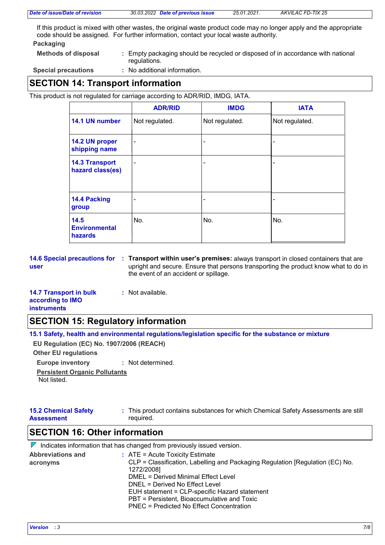|  | Date of issue/Date of revision |  |  |
|--|--------------------------------|--|--|
|--|--------------------------------|--|--|

If this product is mixed with other wastes, the original waste product code may no longer apply and the appropriate code should be assigned. For further information, contact your local waste authority.

#### **Packaging**

**Methods of disposal :** Empty packaging should be recycled or disposed of in accordance with national regulations.

**Special precautions :**

: No additional information.

# **SECTION 14: Transport information**

This product is not regulated for carriage according to ADR/RID, IMDG, IATA.

|                                           | <b>ADR/RID</b>           | <b>IMDG</b>    | <b>IATA</b>    |
|-------------------------------------------|--------------------------|----------------|----------------|
| 14.1 UN number                            | Not regulated.           | Not regulated. | Not regulated. |
| 14.2 UN proper<br>shipping name           | $\blacksquare$           | -              |                |
| <b>14.3 Transport</b><br>hazard class(es) | $\overline{\phantom{0}}$ | -              |                |
| 14.4 Packing<br>group                     | $\blacksquare$           | ۰              |                |
| 14.5<br><b>Environmental</b><br>hazards   | No.                      | No.            | No.            |

**14.6 Special precautions for Transport within user's premises:** always transport in closed containers that are **: user** upright and secure. Ensure that persons transporting the product know what to do in the event of an accident or spillage.

#### **14.7 Transport in bulk according to IMO :** Not available.

## **instruments**

# **SECTION 15: Regulatory information**

**15.1 Safety, health and environmental regulations/legislation specific for the substance or mixture**

**EU Regulation (EC) No. 1907/2006 (REACH)**

**Other EU regulations**

**Europe inventory :** Not determined.

**Persistent Organic Pollutants**

Not listed.

#### **15.2 Chemical Safety Assessment** This product contains substances for which Chemical Safety Assessments are still **:** required.

# **SECTION 16: Other information**

 $\nabla$  Indicates information that has changed from previously issued version.

| $\therefore$ ATE = Acute Toxicity Estimate                                    |
|-------------------------------------------------------------------------------|
| CLP = Classification, Labelling and Packaging Regulation [Regulation (EC) No. |
| 1272/2008]                                                                    |
| DMEL = Derived Minimal Effect Level                                           |
| DNEL = Derived No Effect Level                                                |
| EUH statement = CLP-specific Hazard statement                                 |
| PBT = Persistent, Bioaccumulative and Toxic                                   |
| PNEC = Predicted No Effect Concentration                                      |
|                                                                               |